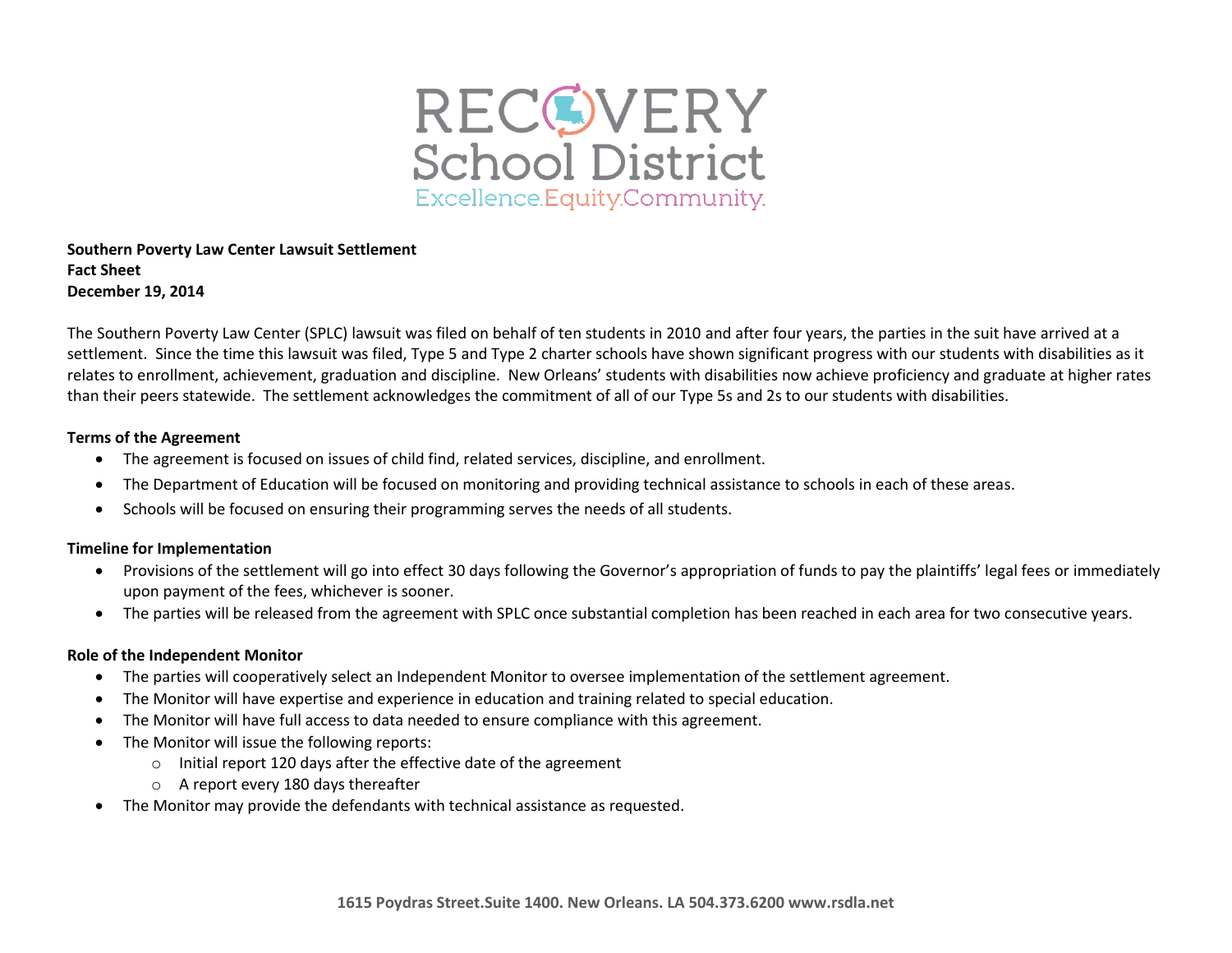

### **Southern Poverty Law Center Lawsuit Settlement Fact Sheet December 19, 2014**

The Southern Poverty Law Center (SPLC) lawsuit was filed on behalf of ten students in 2010 and after four years, the parties in the suit have arrived at a settlement. Since the time this lawsuit was filed, Type 5 and Type 2 charter schools have shown significant progress with our students with disabilities as it relates to enrollment, achievement, graduation and discipline. New Orleans' students with disabilities now achieve proficiency and graduate at higher rates than their peers statewide. The settlement acknowledges the commitment of all of our Type 5s and 2s to our students with disabilities.

#### **Terms of the Agreement**

- The agreement is focused on issues of child find, related services, discipline, and enrollment.
- The Department of Education will be focused on monitoring and providing technical assistance to schools in each of these areas.
- Schools will be focused on ensuring their programming serves the needs of all students.

# **Timeline for Implementation**

- Provisions of the settlement will go into effect 30 days following the Governor's appropriation of funds to pay the plaintiffs' legal fees or immediately upon payment of the fees, whichever is sooner.
- The parties will be released from the agreement with SPLC once substantial completion has been reached in each area for two consecutive years.

#### **Role of the Independent Monitor**

- The parties will cooperatively select an Independent Monitor to oversee implementation of the settlement agreement.
- The Monitor will have expertise and experience in education and training related to special education.
- The Monitor will have full access to data needed to ensure compliance with this agreement.
- The Monitor will issue the following reports:
	- o Initial report 120 days after the effective date of the agreement
	- o A report every 180 days thereafter
- The Monitor may provide the defendants with technical assistance as requested.